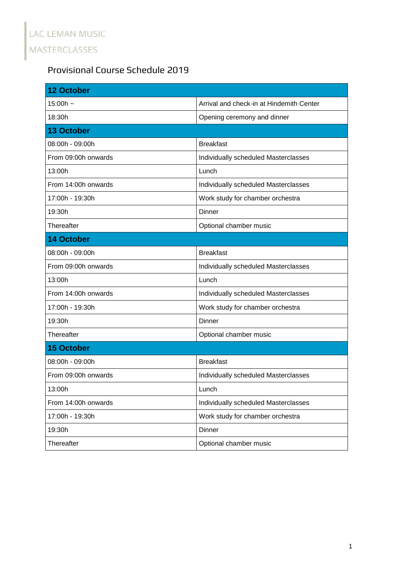## Provisional Course Schedule 2019

| <b>12 October</b>   |                                          |
|---------------------|------------------------------------------|
| 15:00h $\sim$       | Arrival and check-in at Hindemith Center |
| 18:30h              | Opening ceremony and dinner              |
| <b>13 October</b>   |                                          |
| 08:00h - 09:00h     | <b>Breakfast</b>                         |
| From 09:00h onwards | Individually scheduled Masterclasses     |
| 13:00h              | Lunch                                    |
| From 14:00h onwards | Individually scheduled Masterclasses     |
| 17:00h - 19:30h     | Work study for chamber orchestra         |
| 19:30h              | Dinner                                   |
| Thereafter          | Optional chamber music                   |
| <b>14 October</b>   |                                          |
| 08:00h - 09:00h     | <b>Breakfast</b>                         |
| From 09:00h onwards | Individually scheduled Masterclasses     |
| 13:00h              | Lunch                                    |
| From 14:00h onwards | Individually scheduled Masterclasses     |
| 17:00h - 19:30h     | Work study for chamber orchestra         |
| 19:30h              | Dinner                                   |
| Thereafter          | Optional chamber music                   |
| <b>15 October</b>   |                                          |
| 08:00h - 09:00h     | <b>Breakfast</b>                         |
| From 09:00h onwards | Individually scheduled Masterclasses     |
| 13:00h              | Lunch                                    |
| From 14:00h onwards | Individually scheduled Masterclasses     |
| 17:00h - 19:30h     | Work study for chamber orchestra         |
| 19:30h              | Dinner                                   |
| Thereafter          | Optional chamber music                   |